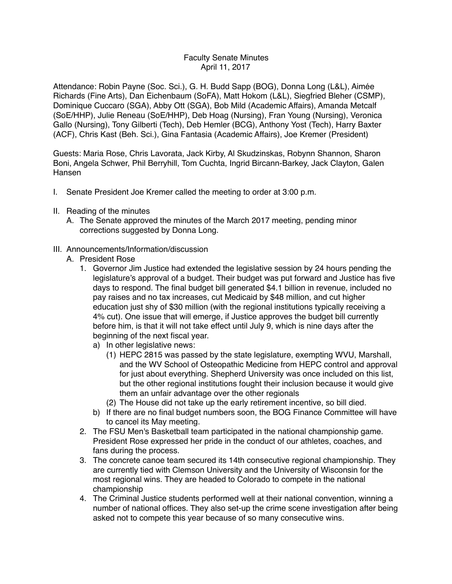# Faculty Senate Minutes April 11, 2017

Attendance: Robin Payne (Soc. Sci.), G. H. Budd Sapp (BOG), Donna Long (L&L), Aimée Richards (Fine Arts), Dan Eichenbaum (SoFA), Matt Hokom (L&L), Siegfried Bleher (CSMP), Dominique Cuccaro (SGA), Abby Ott (SGA), Bob Mild (Academic Affairs), Amanda Metcalf (SoE/HHP), Julie Reneau (SoE/HHP), Deb Hoag (Nursing), Fran Young (Nursing), Veronica Gallo (Nursing), Tony Gilberti (Tech), Deb Hemler (BCG), Anthony Yost (Tech), Harry Baxter (ACF), Chris Kast (Beh. Sci.), Gina Fantasia (Academic Affairs), Joe Kremer (President)

Guests: Maria Rose, Chris Lavorata, Jack Kirby, Al Skudzinskas, Robynn Shannon, Sharon Boni, Angela Schwer, Phil Berryhill, Tom Cuchta, Ingrid Bircann-Barkey, Jack Clayton, Galen Hansen

- I. Senate President Joe Kremer called the meeting to order at 3:00 p.m.
- II. Reading of the minutes
	- A. The Senate approved the minutes of the March 2017 meeting, pending minor corrections suggested by Donna Long.

### III. Announcements/Information/discussion

- A. President Rose
	- 1. Governor Jim Justice had extended the legislative session by 24 hours pending the legislature's approval of a budget. Their budget was put forward and Justice has five days to respond. The final budget bill generated \$4.1 billion in revenue, included no pay raises and no tax increases, cut Medicaid by \$48 million, and cut higher education just shy of \$30 million (with the regional institutions typically receiving a 4% cut). One issue that will emerge, if Justice approves the budget bill currently before him, is that it will not take effect until July 9, which is nine days after the beginning of the next fiscal year.
		- a) In other legislative news:
			- (1) HEPC 2815 was passed by the state legislature, exempting WVU, Marshall, and the WV School of Osteopathic Medicine from HEPC control and approval for just about everything. Shepherd University was once included on this list, but the other regional institutions fought their inclusion because it would give them an unfair advantage over the other regionals
			- (2) The House did not take up the early retirement incentive, so bill died.
		- b) If there are no final budget numbers soon, the BOG Finance Committee will have to cancel its May meeting.
	- 2. The FSU Men's Basketball team participated in the national championship game. President Rose expressed her pride in the conduct of our athletes, coaches, and fans during the process.
	- 3. The concrete canoe team secured its 14th consecutive regional championship. They are currently tied with Clemson University and the University of Wisconsin for the most regional wins. They are headed to Colorado to compete in the national championship
	- 4. The Criminal Justice students performed well at their national convention, winning a number of national offices. They also set-up the crime scene investigation after being asked not to compete this year because of so many consecutive wins.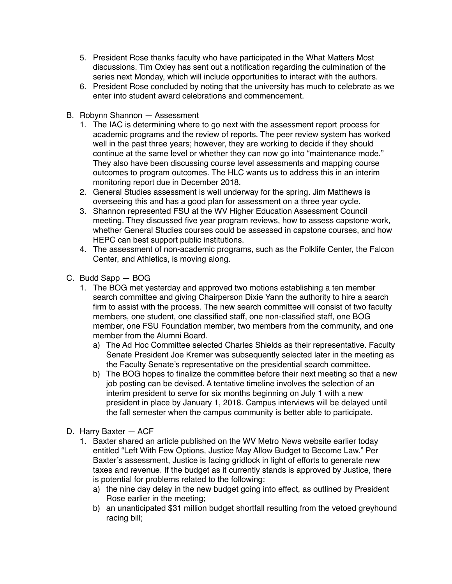- 5. President Rose thanks faculty who have participated in the What Matters Most discussions. Tim Oxley has sent out a notification regarding the culmination of the series next Monday, which will include opportunities to interact with the authors.
- 6. President Rose concluded by noting that the university has much to celebrate as we enter into student award celebrations and commencement.
- B. Robynn Shannon Assessment
	- 1. The IAC is determining where to go next with the assessment report process for academic programs and the review of reports. The peer review system has worked well in the past three years; however, they are working to decide if they should continue at the same level or whether they can now go into "maintenance mode." They also have been discussing course level assessments and mapping course outcomes to program outcomes. The HLC wants us to address this in an interim monitoring report due in December 2018.
	- 2. General Studies assessment is well underway for the spring. Jim Matthews is overseeing this and has a good plan for assessment on a three year cycle.
	- 3. Shannon represented FSU at the WV Higher Education Assessment Council meeting. They discussed five year program reviews, how to assess capstone work, whether General Studies courses could be assessed in capstone courses, and how HEPC can best support public institutions.
	- 4. The assessment of non-academic programs, such as the Folklife Center, the Falcon Center, and Athletics, is moving along.
- C. Budd Sapp BOG
	- 1. The BOG met yesterday and approved two motions establishing a ten member search committee and giving Chairperson Dixie Yann the authority to hire a search firm to assist with the process. The new search committee will consist of two faculty members, one student, one classified staff, one non-classified staff, one BOG member, one FSU Foundation member, two members from the community, and one member from the Alumni Board.
		- a) The Ad Hoc Committee selected Charles Shields as their representative. Faculty Senate President Joe Kremer was subsequently selected later in the meeting as the Faculty Senate's representative on the presidential search committee.
		- b) The BOG hopes to finalize the committee before their next meeting so that a new job posting can be devised. A tentative timeline involves the selection of an interim president to serve for six months beginning on July 1 with a new president in place by January 1, 2018. Campus interviews will be delayed until the fall semester when the campus community is better able to participate.
- D. Harry Baxter ACF
	- 1. Baxter shared an article published on the WV Metro News website earlier today entitled "Left With Few Options, Justice May Allow Budget to Become Law." Per Baxter's assessment, Justice is facing gridlock in light of efforts to generate new taxes and revenue. If the budget as it currently stands is approved by Justice, there is potential for problems related to the following:
		- a) the nine day delay in the new budget going into effect, as outlined by President Rose earlier in the meeting;
		- b) an unanticipated \$31 million budget shortfall resulting from the vetoed greyhound racing bill;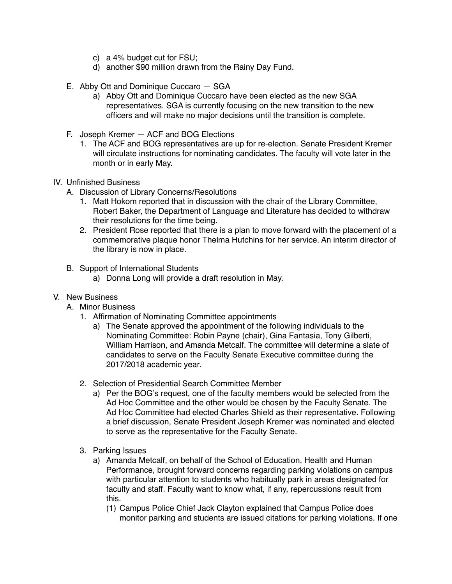- c) a 4% budget cut for FSU;
- d) another \$90 million drawn from the Rainy Day Fund.
- E. Abby Ott and Dominique Cuccaro SGA
	- a) Abby Ott and Dominique Cuccaro have been elected as the new SGA representatives. SGA is currently focusing on the new transition to the new officers and will make no major decisions until the transition is complete.
- F. Joseph Kremer ACF and BOG Elections
	- 1. The ACF and BOG representatives are up for re-election. Senate President Kremer will circulate instructions for nominating candidates. The faculty will vote later in the month or in early May.

## IV. Unfinished Business

- A. Discussion of Library Concerns/Resolutions
	- 1. Matt Hokom reported that in discussion with the chair of the Library Committee, Robert Baker, the Department of Language and Literature has decided to withdraw their resolutions for the time being.
	- 2. President Rose reported that there is a plan to move forward with the placement of a commemorative plaque honor Thelma Hutchins for her service. An interim director of the library is now in place.
- B. Support of International Students
	- a) Donna Long will provide a draft resolution in May.

### V. New Business

- A. Minor Business
	- 1. Affirmation of Nominating Committee appointments
		- a) The Senate approved the appointment of the following individuals to the Nominating Committee: Robin Payne (chair), Gina Fantasia, Tony Gilberti, William Harrison, and Amanda Metcalf. The committee will determine a slate of candidates to serve on the Faculty Senate Executive committee during the 2017/2018 academic year.
	- 2. Selection of Presidential Search Committee Member
		- a) Per the BOG's request, one of the faculty members would be selected from the Ad Hoc Committee and the other would be chosen by the Faculty Senate. The Ad Hoc Committee had elected Charles Shield as their representative. Following a brief discussion, Senate President Joseph Kremer was nominated and elected to serve as the representative for the Faculty Senate.
	- 3. Parking Issues
		- a) Amanda Metcalf, on behalf of the School of Education, Health and Human Performance, brought forward concerns regarding parking violations on campus with particular attention to students who habitually park in areas designated for faculty and staff. Faculty want to know what, if any, repercussions result from this.
			- (1) Campus Police Chief Jack Clayton explained that Campus Police does monitor parking and students are issued citations for parking violations. If one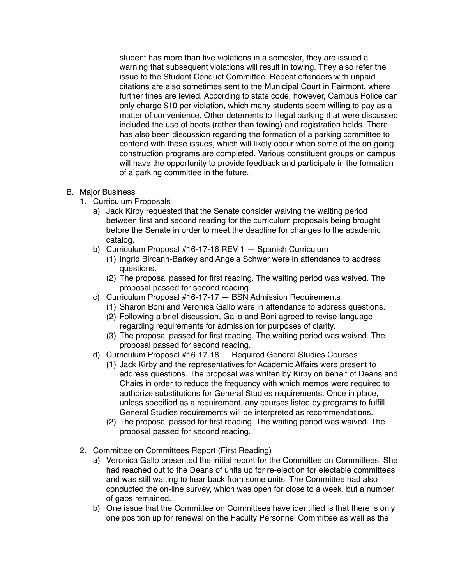student has more than five violations in a semester, they are issued a warning that subsequent violations will result in towing. They also refer the issue to the Student Conduct Committee. Repeat offenders with unpaid citations are also sometimes sent to the Municipal Court in Fairmont, where further fines are levied. According to state code, however, Campus Police can only charge \$10 per violation, which many students seem willing to pay as a matter of convenience. Other deterrents to illegal parking that were discussed included the use of boots (rather than towing) and registration holds. There has also been discussion regarding the formation of a parking committee to contend with these issues, which will likely occur when some of the on-going construction programs are completed. Various constituent groups on campus will have the opportunity to provide feedback and participate in the formation of a parking committee in the future.

## B. Major Business

- 1. Curriculum Proposals
	- a) Jack Kirby requested that the Senate consider waiving the waiting period between first and second reading for the curriculum proposals being brought before the Senate in order to meet the deadline for changes to the academic catalog.
	- b) Curriculum Proposal #16-17-16 REV 1 Spanish Curriculum
		- (1) Ingrid Bircann-Barkey and Angela Schwer were in attendance to address questions.
		- (2) The proposal passed for first reading. The waiting period was waived. The proposal passed for second reading.
	- c) Curriculum Proposal #16-17-17 BSN Admission Requirements
		- (1) Sharon Boni and Veronica Gallo were in attendance to address questions.
		- (2) Following a brief discussion, Gallo and Boni agreed to revise language regarding requirements for admission for purposes of clarity.
		- (3) The proposal passed for first reading. The waiting period was waived. The proposal passed for second reading.
	- d) Curriculum Proposal #16-17-18 Required General Studies Courses
		- (1) Jack Kirby and the representatives for Academic Affairs were present to address questions. The proposal was written by Kirby on behalf of Deans and Chairs in order to reduce the frequency with which memos were required to authorize substitutions for General Studies requirements. Once in place, unless specified as a requirement, any courses listed by programs to fulfill General Studies requirements will be interpreted as recommendations.
		- (2) The proposal passed for first reading. The waiting period was waived. The proposal passed for second reading.
- 2. Committee on Committees Report (First Reading)
	- a) Veronica Gallo presented the initial report for the Committee on Committees. She had reached out to the Deans of units up for re-election for electable committees and was still waiting to hear back from some units. The Committee had also conducted the on-line survey, which was open for close to a week, but a number of gaps remained.
	- b) One issue that the Committee on Committees have identified is that there is only one position up for renewal on the Faculty Personnel Committee as well as the